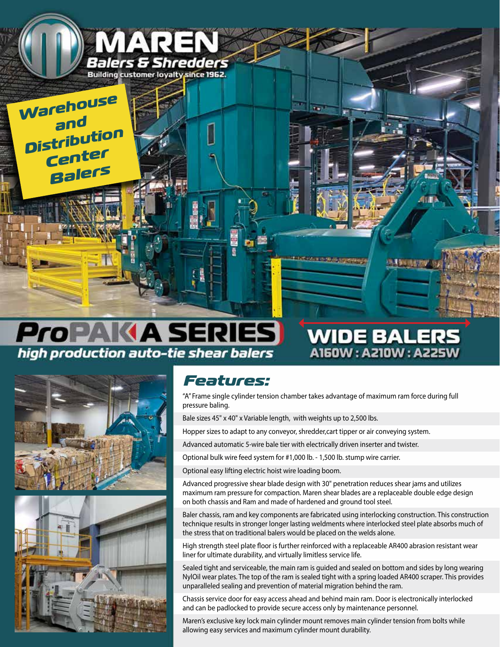

## **ProPAKA SERIES** high production auto-tie shear balers





## *Features:*

"A" Frame single cylinder tension chamber takes advantage of maximum ram force during full pressure baling.

A150W: A210W: A225W

Bale sizes 45" x 40" x Variable length, with weights up to 2,500 lbs.

Hopper sizes to adapt to any conveyor, shredder,cart tipper or air conveying system.

Advanced automatic 5-wire bale tier with electrically driven inserter and twister.

Optional bulk wire feed system for #1,000 lb. - 1,500 lb. stump wire carrier.

Optional easy lifting electric hoist wire loading boom.

Advanced progressive shear blade design with 30" penetration reduces shear jams and utilizes maximum ram pressure for compaction. Maren shear blades are a replaceable double edge design on both chassis and Ram and made of hardened and ground tool steel.

Baler chassis, ram and key components are fabricated using interlocking construction. This construction technique results in stronger longer lasting weldments where interlocked steel plate absorbs much of the stress that on traditional balers would be placed on the welds alone.

High strength steel plate floor is further reinforced with a replaceable AR400 abrasion resistant wear liner for ultimate durability, and virtually limitless service life.

Sealed tight and serviceable, the main ram is guided and sealed on bottom and sides by long wearing NylOil wear plates. The top of the ram is sealed tight with a spring loaded AR400 scraper. This provides unparalleled sealing and prevention of material migration behind the ram.

Chassis service door for easy access ahead and behind main ram. Door is electronically interlocked and can be padlocked to provide secure access only by maintenance personnel.

Maren's exclusive key lock main cylinder mount removes main cylinder tension from bolts while allowing easy services and maximum cylinder mount durability.